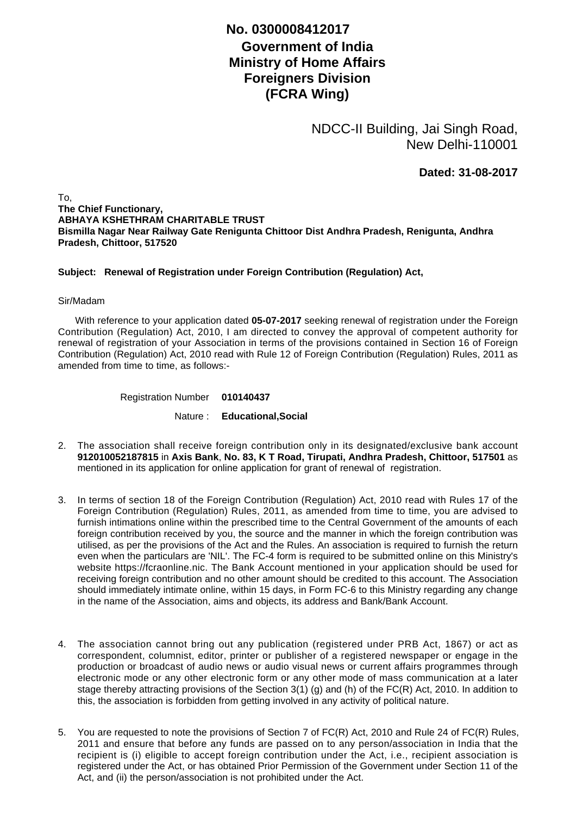## **No. 0300008412017**

## **Government of India Ministry of Home Affairs Foreigners Division (FCRA Wing)**

NDCC-II Building, Jai Singh Road, New Delhi-110001

**Dated: 31-08-2017**

To, **The Chief Functionary, ABHAYA KSHETHRAM CHARITABLE TRUST Bismilla Nagar Near Railway Gate Renigunta Chittoor Dist Andhra Pradesh, Renigunta, Andhra Pradesh, Chittoor, 517520**

## **Subject: Renewal of Registration under Foreign Contribution (Regulation) Act,**

## Sir/Madam

 With reference to your application dated **05-07-2017** seeking renewal of registration under the Foreign Contribution (Regulation) Act, 2010, I am directed to convey the approval of competent authority for renewal of registration of your Association in terms of the provisions contained in Section 16 of Foreign Contribution (Regulation) Act, 2010 read with Rule 12 of Foreign Contribution (Regulation) Rules, 2011 as amended from time to time, as follows:-

Registration Number **010140437**

Nature : **Educational,Social**

- The association shall receive foreign contribution only in its designated/exclusive bank account 2. **912010052187815** in **Axis Bank**, **No. 83, K T Road, Tirupati, Andhra Pradesh, Chittoor, 517501** as mentioned in its application for online application for grant of renewal of registration.
- 3. In terms of section 18 of the Foreign Contribution (Regulation) Act, 2010 read with Rules 17 of the Foreign Contribution (Regulation) Rules, 2011, as amended from time to time, you are advised to furnish intimations online within the prescribed time to the Central Government of the amounts of each foreign contribution received by you, the source and the manner in which the foreign contribution was utilised, as per the provisions of the Act and the Rules. An association is required to furnish the return even when the particulars are 'NIL'. The FC-4 form is required to be submitted online on this Ministry's website https://fcraonline.nic. The Bank Account mentioned in your application should be used for receiving foreign contribution and no other amount should be credited to this account. The Association should immediately intimate online, within 15 days, in Form FC-6 to this Ministry regarding any change in the name of the Association, aims and objects, its address and Bank/Bank Account.
- 4. The association cannot bring out any publication (registered under PRB Act, 1867) or act as correspondent, columnist, editor, printer or publisher of a registered newspaper or engage in the production or broadcast of audio news or audio visual news or current affairs programmes through electronic mode or any other electronic form or any other mode of mass communication at a later stage thereby attracting provisions of the Section 3(1) (g) and (h) of the FC(R) Act, 2010. In addition to this, the association is forbidden from getting involved in any activity of political nature.
- 5. You are requested to note the provisions of Section 7 of FC(R) Act, 2010 and Rule 24 of FC(R) Rules, 2011 and ensure that before any funds are passed on to any person/association in India that the recipient is (i) eligible to accept foreign contribution under the Act, i.e., recipient association is registered under the Act, or has obtained Prior Permission of the Government under Section 11 of the Act, and (ii) the person/association is not prohibited under the Act.